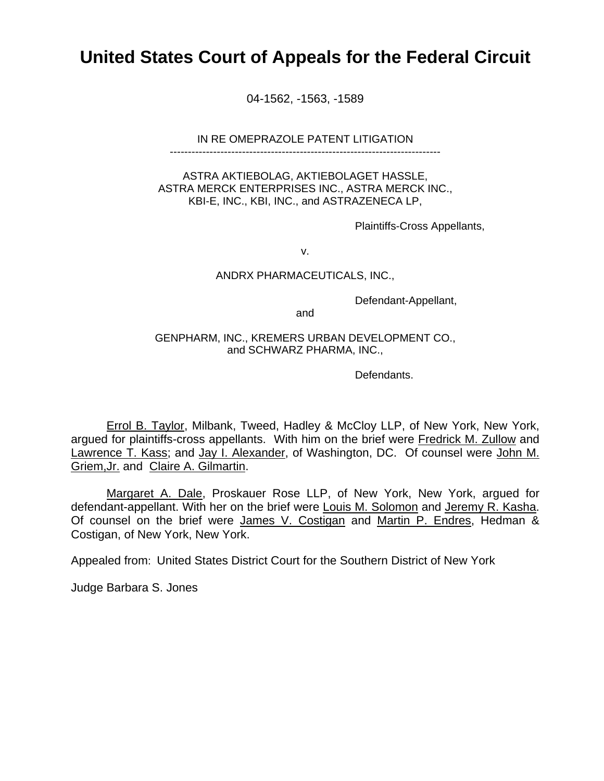# **United States Court of Appeals for the Federal Circuit**

04-1562, -1563, -1589

IN RE OMEPRAZOLE PATENT LITIGATION

---------------------------------------------------------------------------

ASTRA AKTIEBOLAG, AKTIEBOLAGET HASSLE, ASTRA MERCK ENTERPRISES INC., ASTRA MERCK INC., KBI-E, INC., KBI, INC., and ASTRAZENECA LP,

Plaintiffs-Cross Appellants,

v.

### ANDRX PHARMACEUTICALS, INC.,

Defendant-Appellant,

and

GENPHARM, INC., KREMERS URBAN DEVELOPMENT CO., and SCHWARZ PHARMA, INC.,

Defendants.

Errol B. Taylor, Milbank, Tweed, Hadley & McCloy LLP, of New York, New York, argued for plaintiffs-cross appellants. With him on the brief were Fredrick M. Zullow and Lawrence T. Kass; and Jay I. Alexander, of Washington, DC. Of counsel were John M. Griem,Jr. and Claire A. Gilmartin.

Margaret A. Dale, Proskauer Rose LLP, of New York, New York, argued for defendant-appellant. With her on the brief were Louis M. Solomon and Jeremy R. Kasha. Of counsel on the brief were James V. Costigan and Martin P. Endres, Hedman & Costigan, of New York, New York.

Appealed from: United States District Court for the Southern District of New York

Judge Barbara S. Jones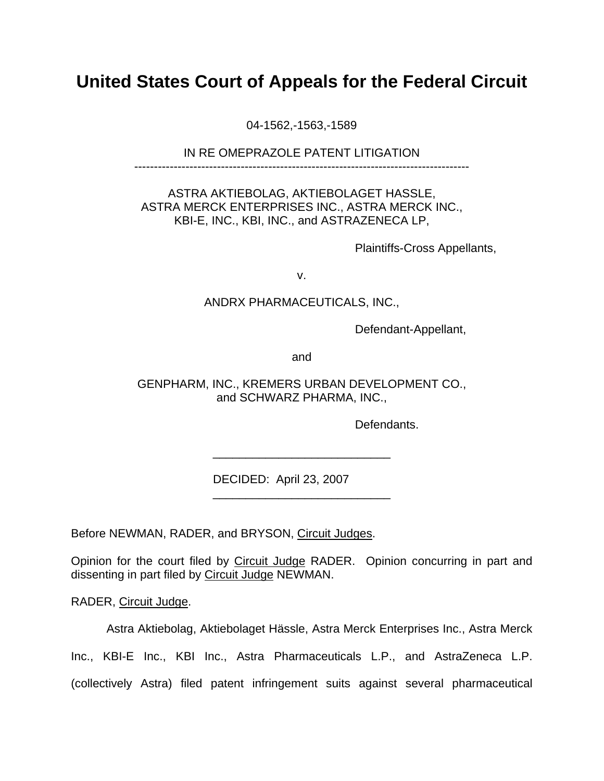# **United States Court of Appeals for the Federal Circuit**

04-1562,-1563,-1589

## IN RE OMEPRAZOLE PATENT LITIGATION

-------------------------------------------------------------------------------------

# ASTRA AKTIEBOLAG, AKTIEBOLAGET HASSLE, ASTRA MERCK ENTERPRISES INC., ASTRA MERCK INC., KBI-E, INC., KBI, INC., and ASTRAZENECA LP,

Plaintiffs-Cross Appellants,

v.

## ANDRX PHARMACEUTICALS, INC.,

Defendant-Appellant,

and

# GENPHARM, INC., KREMERS URBAN DEVELOPMENT CO., and SCHWARZ PHARMA, INC.,

\_\_\_\_\_\_\_\_\_\_\_\_\_\_\_\_\_\_\_\_\_\_\_\_\_\_\_

\_\_\_\_\_\_\_\_\_\_\_\_\_\_\_\_\_\_\_\_\_\_\_\_\_\_\_

Defendants.

DECIDED: April 23, 2007

Before NEWMAN, RADER, and BRYSON, Circuit Judges.

Opinion for the court filed by Circuit Judge RADER. Opinion concurring in part and dissenting in part filed by Circuit Judge NEWMAN.

RADER, Circuit Judge.

Astra Aktiebolag, Aktiebolaget Hässle, Astra Merck Enterprises Inc., Astra Merck

Inc., KBI-E Inc., KBI Inc., Astra Pharmaceuticals L.P., and AstraZeneca L.P.

(collectively Astra) filed patent infringement suits against several pharmaceutical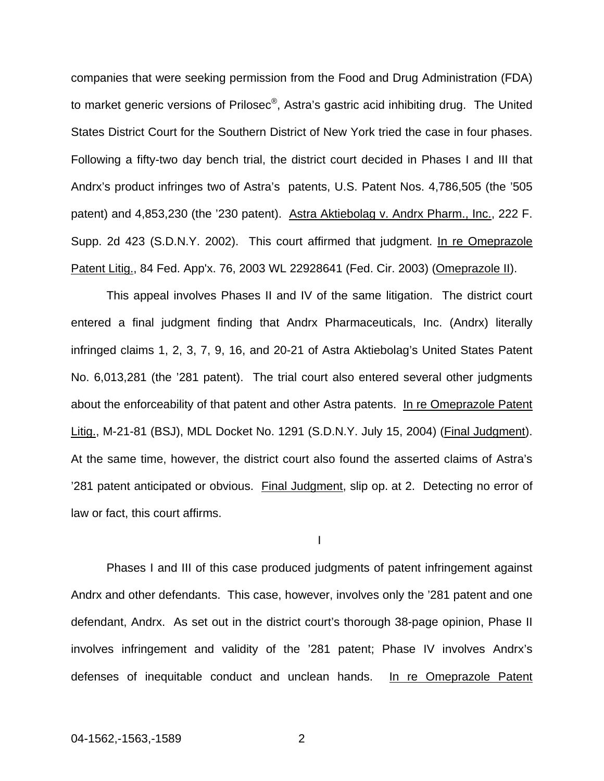companies that were seeking permission from the Food and Drug Administration (FDA) to market generic versions of Prilosec®, Astra's gastric acid inhibiting drug. The United States District Court for the Southern District of New York tried the case in four phases. Following a fifty-two day bench trial, the district court decided in Phases I and III that Andrx's product infringes two of Astra's patents, U.S. Patent Nos. 4,786,505 (the '505 patent) and 4,853,230 (the '230 patent). Astra Aktiebolag v. Andrx Pharm., Inc., 222 F. Supp. 2d 423 (S.D.N.Y. 2002). This court affirmed that judgment. In re Omeprazole Patent Litig., 84 Fed. App'x. 76, 2003 WL 22928641 (Fed. Cir. 2003) (Omeprazole II).

This appeal involves Phases II and IV of the same litigation. The district court entered a final judgment finding that Andrx Pharmaceuticals, Inc. (Andrx) literally infringed claims 1, 2, 3, 7, 9, 16, and 20-21 of Astra Aktiebolag's United States Patent No. 6,013,281 (the '281 patent). The trial court also entered several other judgments about the enforceability of that patent and other Astra patents. In re Omeprazole Patent Litig., M-21-81 (BSJ), MDL Docket No. 1291 (S.D.N.Y. July 15, 2004) (Final Judgment). At the same time, however, the district court also found the asserted claims of Astra's '281 patent anticipated or obvious. Final Judgment, slip op. at 2. Detecting no error of law or fact, this court affirms.

I

Phases I and III of this case produced judgments of patent infringement against Andrx and other defendants. This case, however, involves only the '281 patent and one defendant, Andrx. As set out in the district court's thorough 38-page opinion, Phase II involves infringement and validity of the '281 patent; Phase IV involves Andrx's defenses of inequitable conduct and unclean hands. In re Omeprazole Patent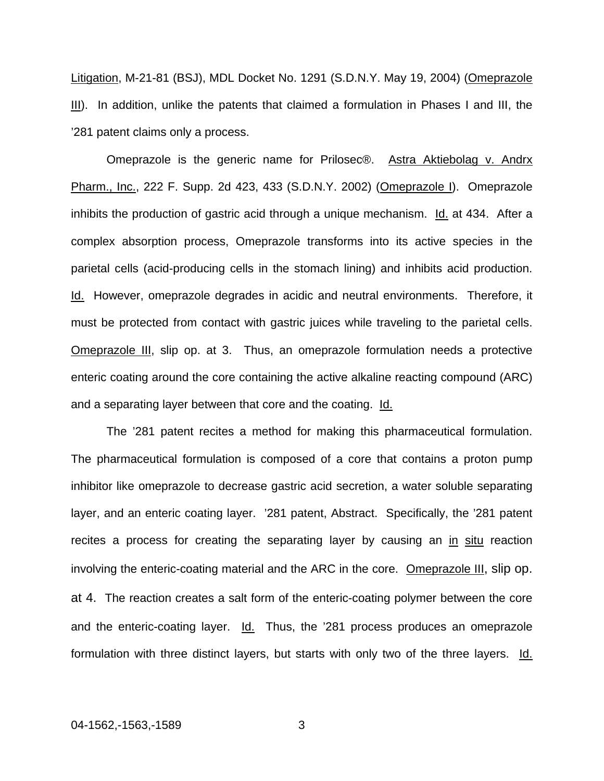Litigation, M-21-81 (BSJ), MDL Docket No. 1291 (S.D.N.Y. May 19, 2004) (Omeprazole III). In addition, unlike the patents that claimed a formulation in Phases I and III, the '281 patent claims only a process.

Omeprazole is the generic name for Prilosec®. Astra Aktiebolag v. Andrx Pharm., Inc., 222 F. Supp. 2d 423, 433 (S.D.N.Y. 2002) (Omeprazole I). Omeprazole inhibits the production of gastric acid through a unique mechanism. Id. at 434. After a complex absorption process, Omeprazole transforms into its active species in the parietal cells (acid-producing cells in the stomach lining) and inhibits acid production. Id. However, omeprazole degrades in acidic and neutral environments. Therefore, it must be protected from contact with gastric juices while traveling to the parietal cells. Omeprazole III, slip op. at 3. Thus, an omeprazole formulation needs a protective enteric coating around the core containing the active alkaline reacting compound (ARC) and a separating layer between that core and the coating. Id.

The '281 patent recites a method for making this pharmaceutical formulation. The pharmaceutical formulation is composed of a core that contains a proton pump inhibitor like omeprazole to decrease gastric acid secretion, a water soluble separating layer, and an enteric coating layer. '281 patent, Abstract. Specifically, the '281 patent recites a process for creating the separating layer by causing an in situ reaction involving the enteric-coating material and the ARC in the core. Omeprazole III, slip op. at 4. The reaction creates a salt form of the enteric-coating polymer between the core and the enteric-coating layer. Id. Thus, the '281 process produces an omeprazole formulation with three distinct layers, but starts with only two of the three layers. Id.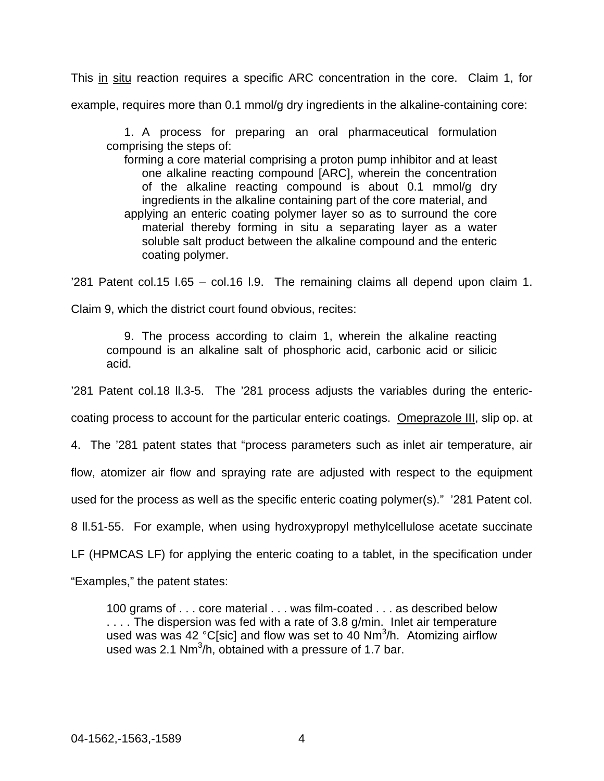This in situ reaction requires a specific ARC concentration in the core. Claim 1, for example, requires more than 0.1 mmol/g dry ingredients in the alkaline-containing core:

 1. A process for preparing an oral pharmaceutical formulation comprising the steps of:

 forming a core material comprising a proton pump inhibitor and at least one alkaline reacting compound [ARC], wherein the concentration of the alkaline reacting compound is about 0.1 mmol/g dry ingredients in the alkaline containing part of the core material, and applying an enteric coating polymer layer so as to surround the core material thereby forming in situ a separating layer as a water soluble salt product between the alkaline compound and the enteric coating polymer.

'281 Patent col.15 l.65 – col.16 l.9. The remaining claims all depend upon claim 1.

Claim 9, which the district court found obvious, recites:

 9. The process according to claim 1, wherein the alkaline reacting compound is an alkaline salt of phosphoric acid, carbonic acid or silicic acid.

'281 Patent col.18 ll.3-5. The '281 process adjusts the variables during the enteric-

coating process to account for the particular enteric coatings. Omeprazole III, slip op. at

4. The '281 patent states that "process parameters such as inlet air temperature, air

flow, atomizer air flow and spraying rate are adjusted with respect to the equipment

used for the process as well as the specific enteric coating polymer(s)." '281 Patent col.

8 ll.51-55. For example, when using hydroxypropyl methylcellulose acetate succinate

LF (HPMCAS LF) for applying the enteric coating to a tablet, in the specification under

"Examples," the patent states:

100 grams of . . . core material . . . was film-coated . . . as described below .... The dispersion was fed with a rate of 3.8 g/min. Inlet air temperature used was was 42 °C[sic] and flow was set to 40  $Nm^3/h$ . Atomizing airflow used was 2.1 Nm $^3$ /h, obtained with a pressure of 1.7 bar.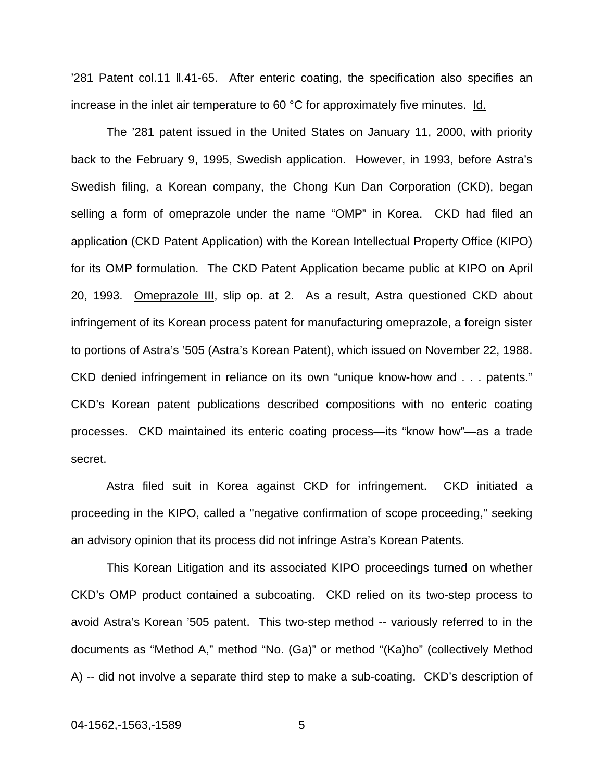'281 Patent col.11 ll.41-65. After enteric coating, the specification also specifies an increase in the inlet air temperature to 60 °C for approximately five minutes. Id.

 The '281 patent issued in the United States on January 11, 2000, with priority back to the February 9, 1995, Swedish application. However, in 1993, before Astra's Swedish filing, a Korean company, the Chong Kun Dan Corporation (CKD), began selling a form of omeprazole under the name "OMP" in Korea. CKD had filed an application (CKD Patent Application) with the Korean Intellectual Property Office (KIPO) for its OMP formulation. The CKD Patent Application became public at KIPO on April 20, 1993. Omeprazole III, slip op. at 2. As a result, Astra questioned CKD about infringement of its Korean process patent for manufacturing omeprazole, a foreign sister to portions of Astra's '505 (Astra's Korean Patent), which issued on November 22, 1988. CKD denied infringement in reliance on its own "unique know-how and . . . patents." CKD's Korean patent publications described compositions with no enteric coating processes. CKD maintained its enteric coating process—its "know how"—as a trade secret.

Astra filed suit in Korea against CKD for infringement. CKD initiated a proceeding in the KIPO, called a "negative confirmation of scope proceeding," seeking an advisory opinion that its process did not infringe Astra's Korean Patents.

 This Korean Litigation and its associated KIPO proceedings turned on whether CKD's OMP product contained a subcoating. CKD relied on its two-step process to avoid Astra's Korean '505 patent. This two-step method -- variously referred to in the documents as "Method A," method "No. (Ga)" or method "(Ka)ho" (collectively Method A) -- did not involve a separate third step to make a sub-coating. CKD's description of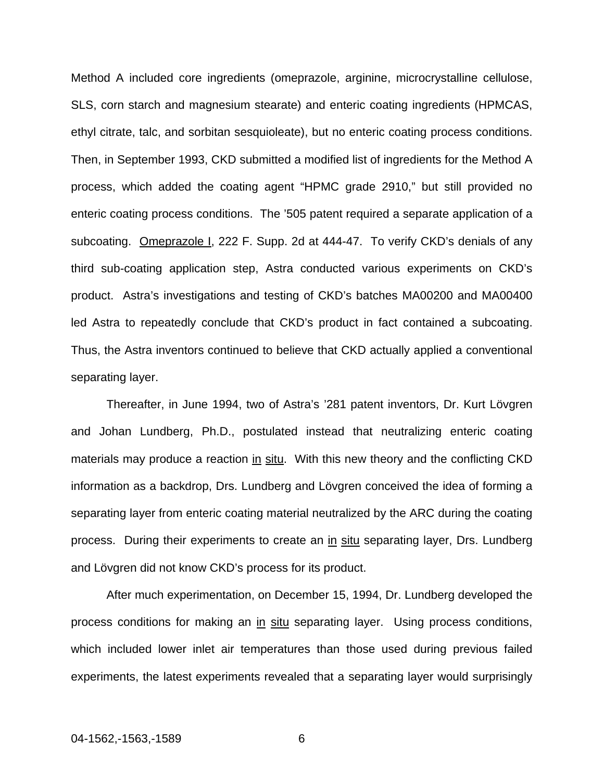Method A included core ingredients (omeprazole, arginine, microcrystalline cellulose, SLS, corn starch and magnesium stearate) and enteric coating ingredients (HPMCAS, ethyl citrate, talc, and sorbitan sesquioleate), but no enteric coating process conditions. Then, in September 1993, CKD submitted a modified list of ingredients for the Method A process, which added the coating agent "HPMC grade 2910," but still provided no enteric coating process conditions. The '505 patent required a separate application of a subcoating. Omeprazole I, 222 F. Supp. 2d at 444-47. To verify CKD's denials of any third sub-coating application step, Astra conducted various experiments on CKD's product. Astra's investigations and testing of CKD's batches MA00200 and MA00400 led Astra to repeatedly conclude that CKD's product in fact contained a subcoating. Thus, the Astra inventors continued to believe that CKD actually applied a conventional separating layer.

Thereafter, in June 1994, two of Astra's '281 patent inventors, Dr. Kurt Lövgren and Johan Lundberg, Ph.D., postulated instead that neutralizing enteric coating materials may produce a reaction in situ. With this new theory and the conflicting CKD information as a backdrop, Drs. Lundberg and Lövgren conceived the idea of forming a separating layer from enteric coating material neutralized by the ARC during the coating process. During their experiments to create an in situ separating layer, Drs. Lundberg and Lövgren did not know CKD's process for its product.

After much experimentation, on December 15, 1994, Dr. Lundberg developed the process conditions for making an in situ separating layer. Using process conditions, which included lower inlet air temperatures than those used during previous failed experiments, the latest experiments revealed that a separating layer would surprisingly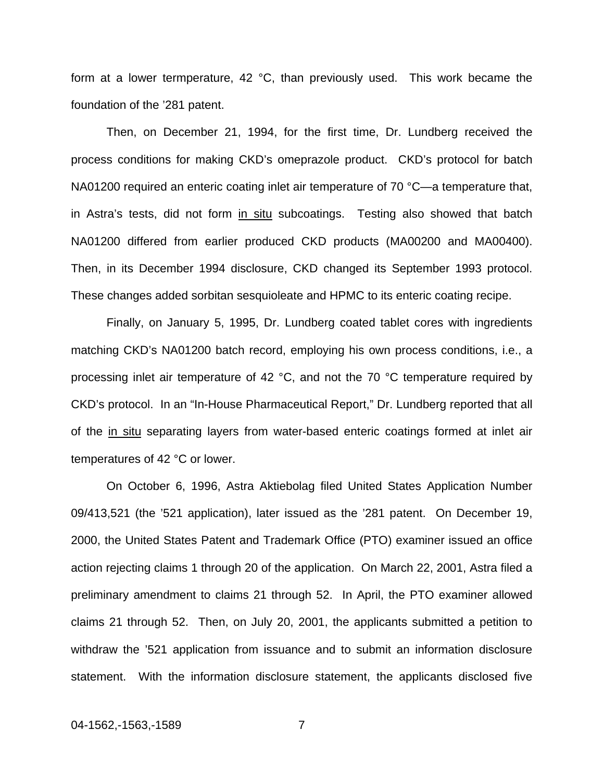form at a lower termperature, 42 °C, than previously used. This work became the foundation of the '281 patent.

Then, on December 21, 1994, for the first time, Dr. Lundberg received the process conditions for making CKD's omeprazole product. CKD's protocol for batch NA01200 required an enteric coating inlet air temperature of 70 °C—a temperature that, in Astra's tests, did not form in situ subcoatings. Testing also showed that batch NA01200 differed from earlier produced CKD products (MA00200 and MA00400). Then, in its December 1994 disclosure, CKD changed its September 1993 protocol. These changes added sorbitan sesquioleate and HPMC to its enteric coating recipe.

Finally, on January 5, 1995, Dr. Lundberg coated tablet cores with ingredients matching CKD's NA01200 batch record, employing his own process conditions, i.e., a processing inlet air temperature of 42 °C, and not the 70 °C temperature required by CKD's protocol. In an "In-House Pharmaceutical Report," Dr. Lundberg reported that all of the in situ separating layers from water-based enteric coatings formed at inlet air temperatures of 42 °C or lower.

On October 6, 1996, Astra Aktiebolag filed United States Application Number 09/413,521 (the '521 application), later issued as the '281 patent. On December 19, 2000, the United States Patent and Trademark Office (PTO) examiner issued an office action rejecting claims 1 through 20 of the application. On March 22, 2001, Astra filed a preliminary amendment to claims 21 through 52. In April, the PTO examiner allowed claims 21 through 52. Then, on July 20, 2001, the applicants submitted a petition to withdraw the '521 application from issuance and to submit an information disclosure statement. With the information disclosure statement, the applicants disclosed five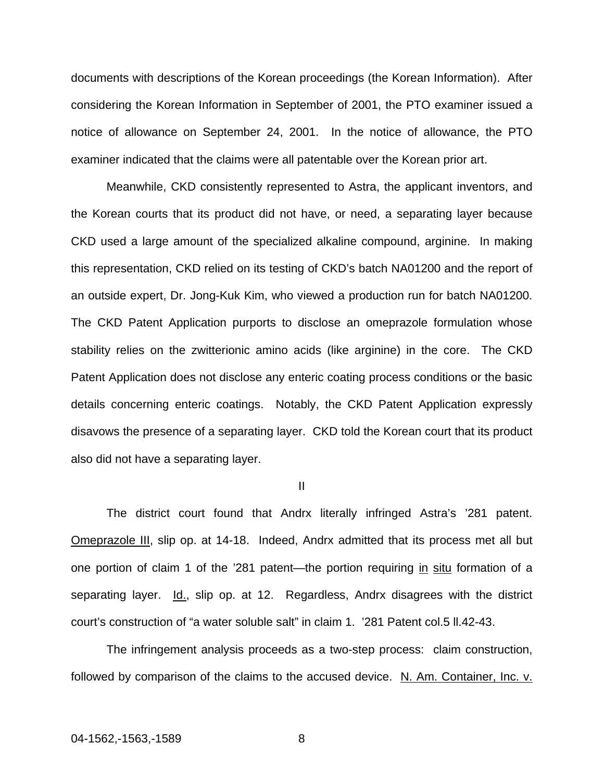documents with descriptions of the Korean proceedings (the Korean Information). After considering the Korean Information in September of 2001, the PTO examiner issued a notice of allowance on September 24, 2001. In the notice of allowance, the PTO examiner indicated that the claims were all patentable over the Korean prior art.

Meanwhile, CKD consistently represented to Astra, the applicant inventors, and the Korean courts that its product did not have, or need, a separating layer because CKD used a large amount of the specialized alkaline compound, arginine. In making this representation, CKD relied on its testing of CKD's batch NA01200 and the report of an outside expert, Dr. Jong-Kuk Kim, who viewed a production run for batch NA01200. The CKD Patent Application purports to disclose an omeprazole formulation whose stability relies on the zwitterionic amino acids (like arginine) in the core. The CKD Patent Application does not disclose any enteric coating process conditions or the basic details concerning enteric coatings. Notably, the CKD Patent Application expressly disavows the presence of a separating layer. CKD told the Korean court that its product also did not have a separating layer.

II

The district court found that Andrx literally infringed Astra's '281 patent. Omeprazole III, slip op. at 14-18. Indeed, Andrx admitted that its process met all but one portion of claim 1 of the '281 patent—the portion requiring in situ formation of a separating layer. Id., slip op. at 12. Regardless, Andrx disagrees with the district court's construction of "a water soluble salt" in claim 1. '281 Patent col.5 ll.42-43.

The infringement analysis proceeds as a two-step process: claim construction, followed by comparison of the claims to the accused device. N. Am. Container, Inc. v.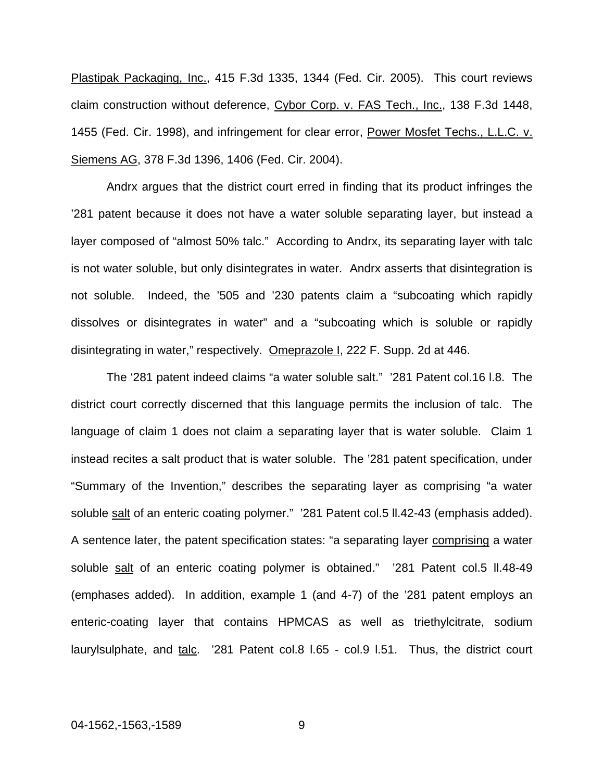Plastipak Packaging, Inc., 415 F.3d 1335, 1344 (Fed. Cir. 2005). This court reviews claim construction without deference, Cybor Corp. v. FAS Tech., Inc., 138 F.3d 1448, 1455 (Fed. Cir. 1998), and infringement for clear error, Power Mosfet Techs., L.L.C. v. Siemens AG, 378 F.3d 1396, 1406 (Fed. Cir. 2004).

Andrx argues that the district court erred in finding that its product infringes the '281 patent because it does not have a water soluble separating layer, but instead a layer composed of "almost 50% talc." According to Andrx, its separating layer with talc is not water soluble, but only disintegrates in water. Andrx asserts that disintegration is not soluble. Indeed, the '505 and '230 patents claim a "subcoating which rapidly dissolves or disintegrates in water" and a "subcoating which is soluble or rapidly disintegrating in water," respectively. Omeprazole I, 222 F. Supp. 2d at 446.

The '281 patent indeed claims "a water soluble salt." '281 Patent col.16 l.8. The district court correctly discerned that this language permits the inclusion of talc. The language of claim 1 does not claim a separating layer that is water soluble. Claim 1 instead recites a salt product that is water soluble. The '281 patent specification, under "Summary of the Invention," describes the separating layer as comprising "a water soluble salt of an enteric coating polymer." '281 Patent col.5 II.42-43 (emphasis added). A sentence later, the patent specification states: "a separating layer comprising a water soluble salt of an enteric coating polymer is obtained." '281 Patent col.5 II.48-49 (emphases added). In addition, example 1 (and 4-7) of the '281 patent employs an enteric-coating layer that contains HPMCAS as well as triethylcitrate, sodium laurylsulphate, and talc. '281 Patent col.8 l.65 - col.9 l.51. Thus, the district court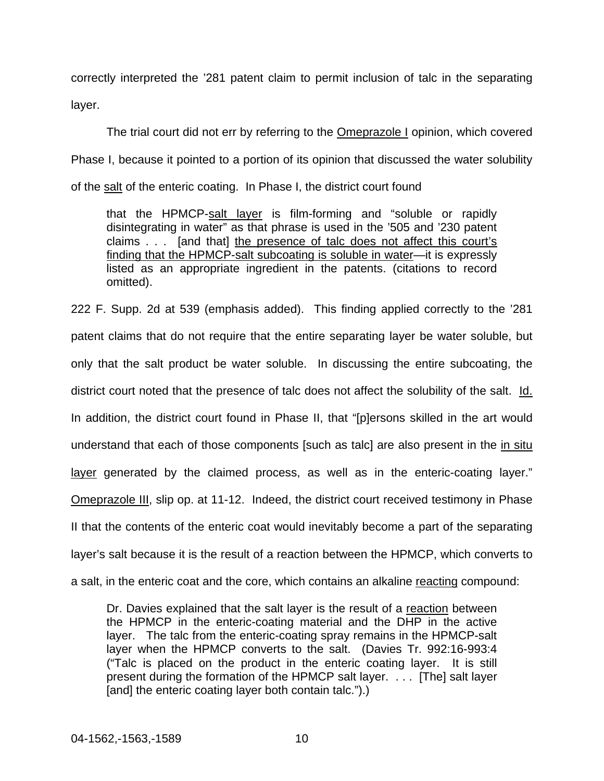correctly interpreted the '281 patent claim to permit inclusion of talc in the separating layer.

The trial court did not err by referring to the Omeprazole I opinion, which covered Phase I, because it pointed to a portion of its opinion that discussed the water solubility of the salt of the enteric coating. In Phase I, the district court found

that the HPMCP-salt layer is film-forming and "soluble or rapidly disintegrating in water" as that phrase is used in the '505 and '230 patent claims . . . [and that] the presence of talc does not affect this court's finding that the HPMCP-salt subcoating is soluble in water—it is expressly listed as an appropriate ingredient in the patents. (citations to record omitted).

222 F. Supp. 2d at 539 (emphasis added). This finding applied correctly to the '281 patent claims that do not require that the entire separating layer be water soluble, but only that the salt product be water soluble. In discussing the entire subcoating, the district court noted that the presence of talc does not affect the solubility of the salt. Id. In addition, the district court found in Phase II, that "[p]ersons skilled in the art would understand that each of those components [such as talc] are also present in the in situ layer generated by the claimed process, as well as in the enteric-coating layer." Omeprazole III, slip op. at 11-12. Indeed, the district court received testimony in Phase II that the contents of the enteric coat would inevitably become a part of the separating layer's salt because it is the result of a reaction between the HPMCP, which converts to a salt, in the enteric coat and the core, which contains an alkaline reacting compound:

Dr. Davies explained that the salt layer is the result of a reaction between the HPMCP in the enteric-coating material and the DHP in the active layer. The talc from the enteric-coating spray remains in the HPMCP-salt layer when the HPMCP converts to the salt. (Davies Tr. 992:16-993:4 ("Talc is placed on the product in the enteric coating layer. It is still present during the formation of the HPMCP salt layer. . . . [The] salt layer [and] the enteric coating layer both contain talc.").)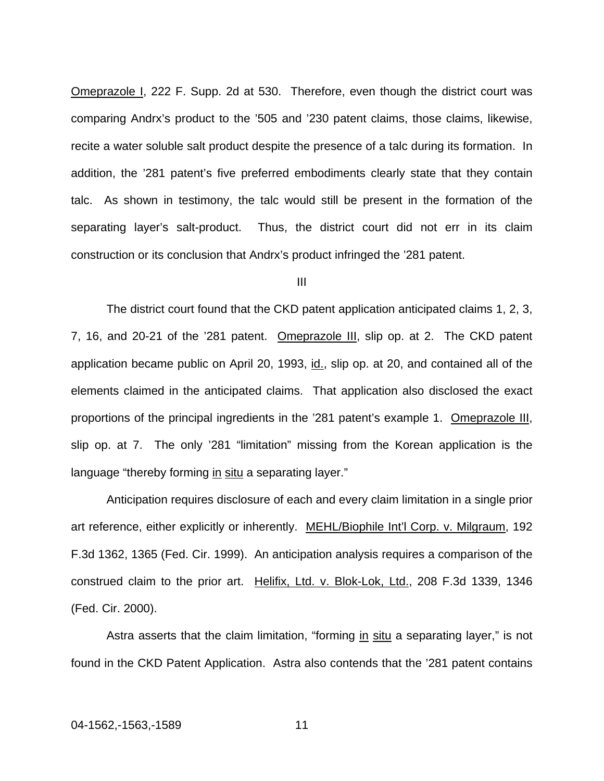Omeprazole I, 222 F. Supp. 2d at 530. Therefore, even though the district court was comparing Andrx's product to the '505 and '230 patent claims, those claims, likewise, recite a water soluble salt product despite the presence of a talc during its formation. In addition, the '281 patent's five preferred embodiments clearly state that they contain talc. As shown in testimony, the talc would still be present in the formation of the separating layer's salt-product. Thus, the district court did not err in its claim construction or its conclusion that Andrx's product infringed the '281 patent.

### III

The district court found that the CKD patent application anticipated claims 1, 2, 3, 7, 16, and 20-21 of the '281 patent. Omeprazole III, slip op. at 2. The CKD patent application became public on April 20, 1993, id., slip op. at 20, and contained all of the elements claimed in the anticipated claims. That application also disclosed the exact proportions of the principal ingredients in the '281 patent's example 1. Omeprazole III, slip op. at 7. The only '281 "limitation" missing from the Korean application is the language "thereby forming in situ a separating layer."

Anticipation requires disclosure of each and every claim limitation in a single prior art reference, either explicitly or inherently. MEHL/Biophile Int'l Corp. v. Milgraum, 192 F.3d 1362, 1365 (Fed. Cir. 1999). An anticipation analysis requires a comparison of the construed claim to the prior art. Helifix, Ltd. v. Blok-Lok, Ltd., 208 F.3d 1339, 1346 (Fed. Cir. 2000).

Astra asserts that the claim limitation, "forming in situ a separating layer," is not found in the CKD Patent Application. Astra also contends that the '281 patent contains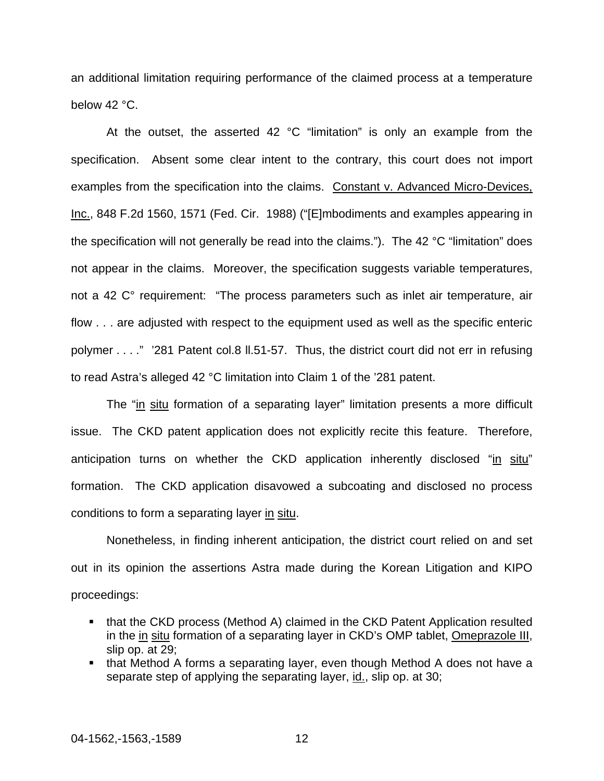an additional limitation requiring performance of the claimed process at a temperature below 42 °C.

At the outset, the asserted 42 °C "limitation" is only an example from the specification. Absent some clear intent to the contrary, this court does not import examples from the specification into the claims. Constant v. Advanced Micro-Devices, Inc., 848 F.2d 1560, 1571 (Fed. Cir. 1988) ("[E]mbodiments and examples appearing in the specification will not generally be read into the claims."). The 42 °C "limitation" does not appear in the claims. Moreover, the specification suggests variable temperatures, not a 42 C° requirement: "The process parameters such as inlet air temperature, air flow . . . are adjusted with respect to the equipment used as well as the specific enteric polymer . . . ." '281 Patent col.8 ll.51-57. Thus, the district court did not err in refusing to read Astra's alleged 42 °C limitation into Claim 1 of the '281 patent.

The "in situ formation of a separating layer" limitation presents a more difficult issue. The CKD patent application does not explicitly recite this feature. Therefore, anticipation turns on whether the CKD application inherently disclosed "in situ" formation. The CKD application disavowed a subcoating and disclosed no process conditions to form a separating layer in situ.

Nonetheless, in finding inherent anticipation, the district court relied on and set out in its opinion the assertions Astra made during the Korean Litigation and KIPO proceedings:

- that the CKD process (Method A) claimed in the CKD Patent Application resulted in the in situ formation of a separating layer in CKD's OMP tablet, Omeprazole III, slip op. at 29;
- that Method A forms a separating layer, even though Method A does not have a separate step of applying the separating layer, id., slip op. at 30;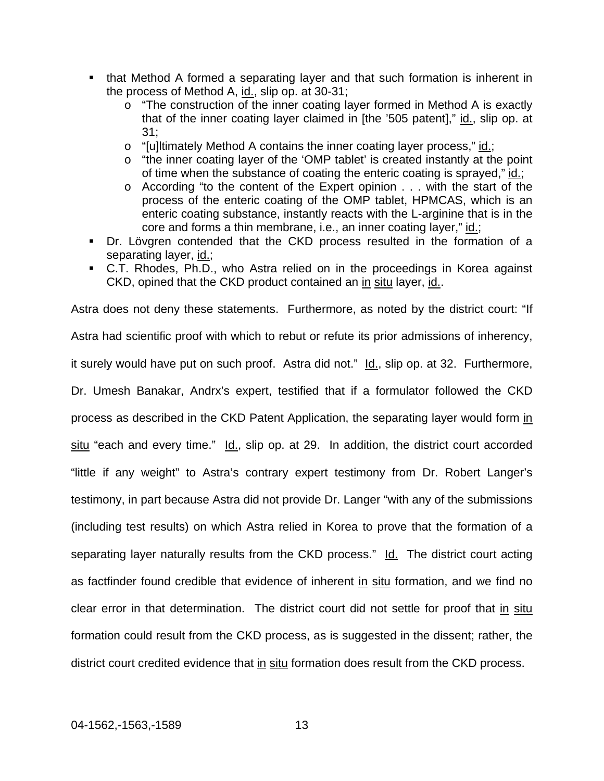- that Method A formed a separating layer and that such formation is inherent in the process of Method A, id., slip op. at 30-31;
	- o "The construction of the inner coating layer formed in Method A is exactly that of the inner coating layer claimed in [the '505 patent]," id., slip op. at 31;
	- o "[u]ltimately Method A contains the inner coating layer process," id.;
	- o "the inner coating layer of the 'OMP tablet' is created instantly at the point of time when the substance of coating the enteric coating is sprayed," id.;
	- o According "to the content of the Expert opinion . . . with the start of the process of the enteric coating of the OMP tablet, HPMCAS, which is an enteric coating substance, instantly reacts with the L-arginine that is in the core and forms a thin membrane, i.e., an inner coating layer," id.;
- Dr. Lövgren contended that the CKD process resulted in the formation of a separating layer, id.;
- C.T. Rhodes, Ph.D., who Astra relied on in the proceedings in Korea against CKD, opined that the CKD product contained an in situ layer, id..

Astra does not deny these statements. Furthermore, as noted by the district court: "If Astra had scientific proof with which to rebut or refute its prior admissions of inherency, it surely would have put on such proof. Astra did not."  $Id.$ , slip op. at 32. Furthermore, Dr. Umesh Banakar, Andrx's expert, testified that if a formulator followed the CKD process as described in the CKD Patent Application, the separating layer would form in situ "each and every time." Id., slip op. at 29. In addition, the district court accorded "little if any weight" to Astra's contrary expert testimony from Dr. Robert Langer's testimony, in part because Astra did not provide Dr. Langer "with any of the submissions (including test results) on which Astra relied in Korea to prove that the formation of a separating layer naturally results from the CKD process." Id. The district court acting as factfinder found credible that evidence of inherent in situ formation, and we find no clear error in that determination. The district court did not settle for proof that in situ formation could result from the CKD process, as is suggested in the dissent; rather, the district court credited evidence that in situ formation does result from the CKD process.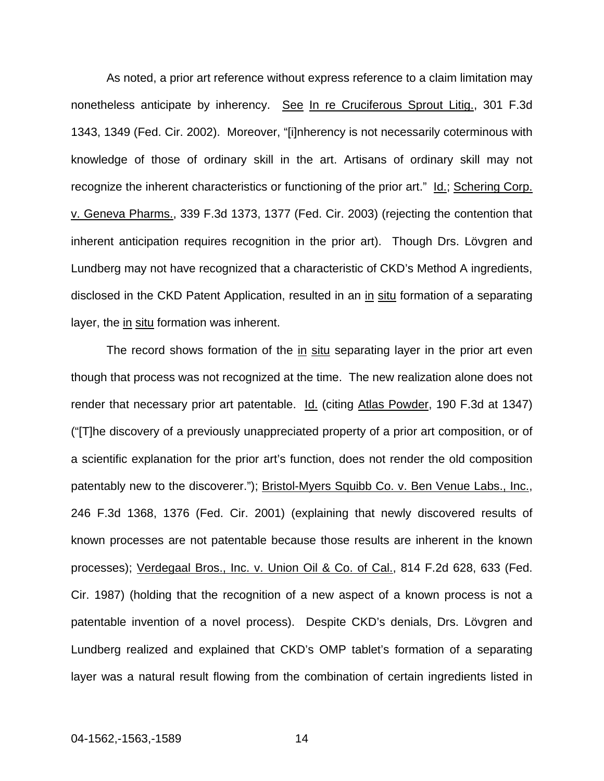As noted, a prior art reference without express reference to a claim limitation may nonetheless anticipate by inherency. See In re Cruciferous Sprout Litig., 301 F.3d 1343, 1349 (Fed. Cir. 2002). Moreover, "[i]nherency is not necessarily coterminous with knowledge of those of ordinary skill in the art. Artisans of ordinary skill may not recognize the inherent characteristics or functioning of the prior art." Id.; Schering Corp. v. Geneva Pharms., 339 F.3d 1373, 1377 (Fed. Cir. 2003) (rejecting the contention that inherent anticipation requires recognition in the prior art). Though Drs. Lövgren and Lundberg may not have recognized that a characteristic of CKD's Method A ingredients, disclosed in the CKD Patent Application, resulted in an in situ formation of a separating layer, the in situ formation was inherent.

The record shows formation of the in situ separating layer in the prior art even though that process was not recognized at the time. The new realization alone does not render that necessary prior art patentable. Id. (citing Atlas Powder, 190 F.3d at 1347) ("[T]he discovery of a previously unappreciated property of a prior art composition, or of a scientific explanation for the prior art's function, does not render the old composition patentably new to the discoverer."); Bristol-Myers Squibb Co. v. Ben Venue Labs., Inc., 246 F.3d 1368, 1376 (Fed. Cir. 2001) (explaining that newly discovered results of known processes are not patentable because those results are inherent in the known processes); Verdegaal Bros., Inc. v. Union Oil & Co. of Cal., 814 F.2d 628, 633 (Fed. Cir. 1987) (holding that the recognition of a new aspect of a known process is not a patentable invention of a novel process). Despite CKD's denials, Drs. Lövgren and Lundberg realized and explained that CKD's OMP tablet's formation of a separating layer was a natural result flowing from the combination of certain ingredients listed in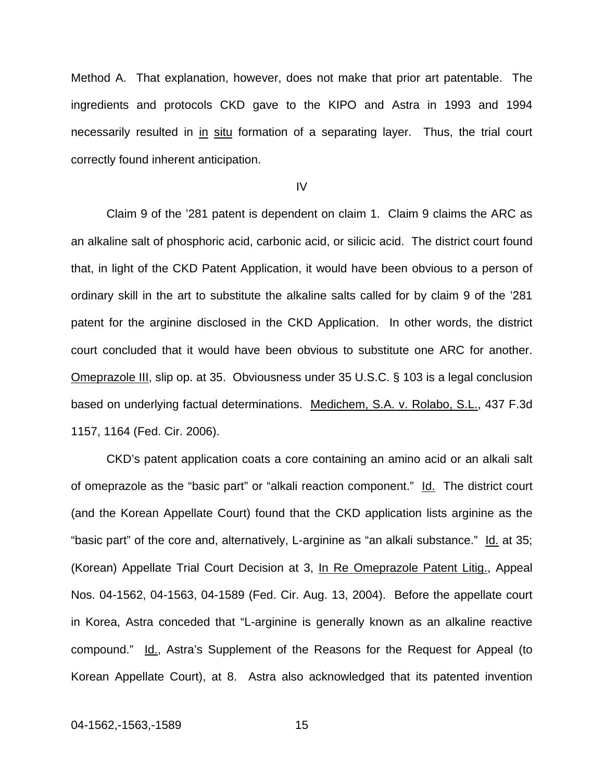Method A. That explanation, however, does not make that prior art patentable. The ingredients and protocols CKD gave to the KIPO and Astra in 1993 and 1994 necessarily resulted in in situ formation of a separating layer. Thus, the trial court correctly found inherent anticipation.

IV

 Claim 9 of the '281 patent is dependent on claim 1. Claim 9 claims the ARC as an alkaline salt of phosphoric acid, carbonic acid, or silicic acid. The district court found that, in light of the CKD Patent Application, it would have been obvious to a person of ordinary skill in the art to substitute the alkaline salts called for by claim 9 of the '281 patent for the arginine disclosed in the CKD Application. In other words, the district court concluded that it would have been obvious to substitute one ARC for another. Omeprazole III, slip op. at 35. Obviousness under 35 U.S.C. § 103 is a legal conclusion based on underlying factual determinations. Medichem, S.A. v. Rolabo, S.L., 437 F.3d 1157, 1164 (Fed. Cir. 2006).

 CKD's patent application coats a core containing an amino acid or an alkali salt of omeprazole as the "basic part" or "alkali reaction component." Id. The district court (and the Korean Appellate Court) found that the CKD application lists arginine as the "basic part" of the core and, alternatively, L-arginine as "an alkali substance." Id. at 35; (Korean) Appellate Trial Court Decision at 3, In Re Omeprazole Patent Litig., Appeal Nos. 04-1562, 04-1563, 04-1589 (Fed. Cir. Aug. 13, 2004). Before the appellate court in Korea, Astra conceded that "L-arginine is generally known as an alkaline reactive compound." Id., Astra's Supplement of the Reasons for the Request for Appeal (to Korean Appellate Court), at 8. Astra also acknowledged that its patented invention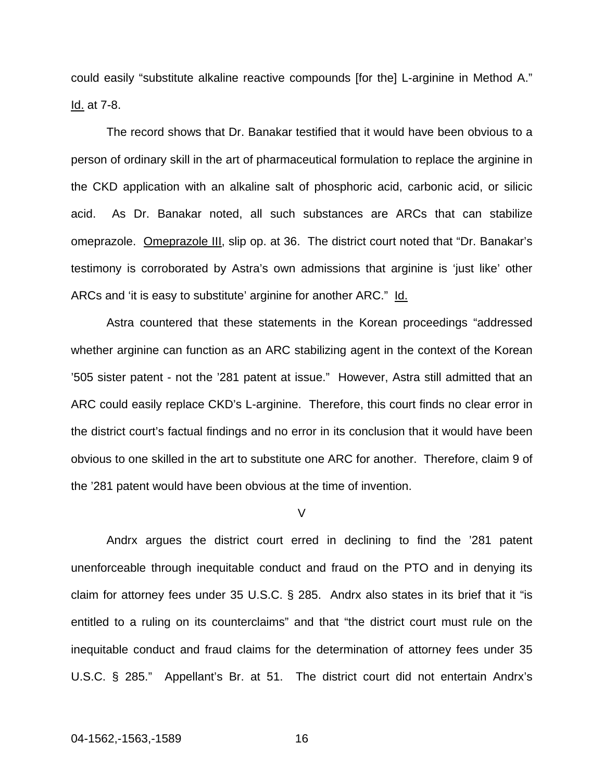could easily "substitute alkaline reactive compounds [for the] L-arginine in Method A." Id. at 7-8.

The record shows that Dr. Banakar testified that it would have been obvious to a person of ordinary skill in the art of pharmaceutical formulation to replace the arginine in the CKD application with an alkaline salt of phosphoric acid, carbonic acid, or silicic acid. As Dr. Banakar noted, all such substances are ARCs that can stabilize omeprazole. Omeprazole III, slip op. at 36. The district court noted that "Dr. Banakar's testimony is corroborated by Astra's own admissions that arginine is 'just like' other ARCs and 'it is easy to substitute' arginine for another ARC." Id.

Astra countered that these statements in the Korean proceedings "addressed whether arginine can function as an ARC stabilizing agent in the context of the Korean '505 sister patent - not the '281 patent at issue." However, Astra still admitted that an ARC could easily replace CKD's L-arginine. Therefore, this court finds no clear error in the district court's factual findings and no error in its conclusion that it would have been obvious to one skilled in the art to substitute one ARC for another. Therefore, claim 9 of the '281 patent would have been obvious at the time of invention.

V

Andrx argues the district court erred in declining to find the '281 patent unenforceable through inequitable conduct and fraud on the PTO and in denying its claim for attorney fees under 35 U.S.C. § 285. Andrx also states in its brief that it "is entitled to a ruling on its counterclaims" and that "the district court must rule on the inequitable conduct and fraud claims for the determination of attorney fees under 35 U.S.C. § 285." Appellant's Br. at 51. The district court did not entertain Andrx's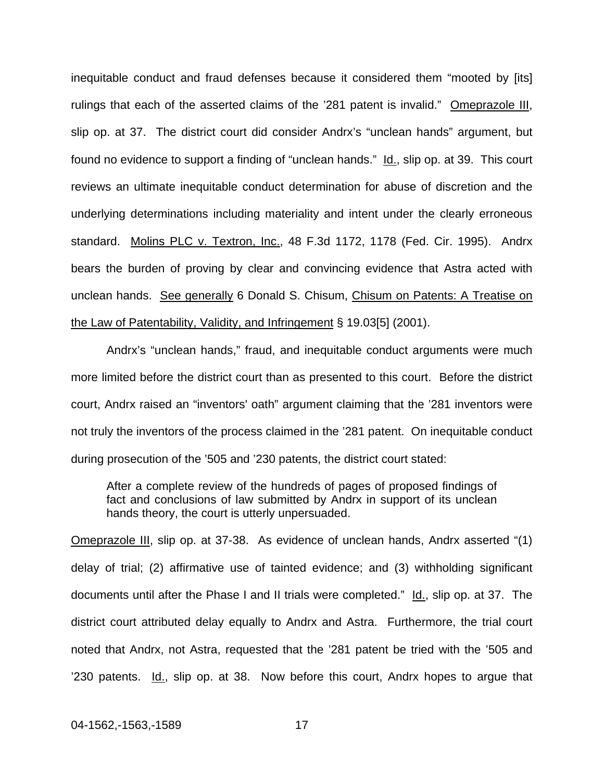inequitable conduct and fraud defenses because it considered them "mooted by [its] rulings that each of the asserted claims of the '281 patent is invalid." Omeprazole III, slip op. at 37. The district court did consider Andrx's "unclean hands" argument, but found no evidence to support a finding of "unclean hands." Id., slip op. at 39. This court reviews an ultimate inequitable conduct determination for abuse of discretion and the underlying determinations including materiality and intent under the clearly erroneous standard. Molins PLC v. Textron, Inc., 48 F.3d 1172, 1178 (Fed. Cir. 1995). Andrx bears the burden of proving by clear and convincing evidence that Astra acted with unclean hands. See generally 6 Donald S. Chisum, Chisum on Patents: A Treatise on the Law of Patentability, Validity, and Infringement § 19.03[5] (2001).

Andrx's "unclean hands," fraud, and inequitable conduct arguments were much more limited before the district court than as presented to this court. Before the district court, Andrx raised an "inventors' oath" argument claiming that the '281 inventors were not truly the inventors of the process claimed in the '281 patent. On inequitable conduct during prosecution of the '505 and '230 patents, the district court stated:

After a complete review of the hundreds of pages of proposed findings of fact and conclusions of law submitted by Andrx in support of its unclean hands theory, the court is utterly unpersuaded.

Omeprazole III, slip op. at 37-38. As evidence of unclean hands, Andrx asserted "(1) delay of trial; (2) affirmative use of tainted evidence; and (3) withholding significant documents until after the Phase I and II trials were completed." Id., slip op. at 37. The district court attributed delay equally to Andrx and Astra. Furthermore, the trial court noted that Andrx, not Astra, requested that the '281 patent be tried with the '505 and '230 patents. Id., slip op. at 38. Now before this court, Andrx hopes to arque that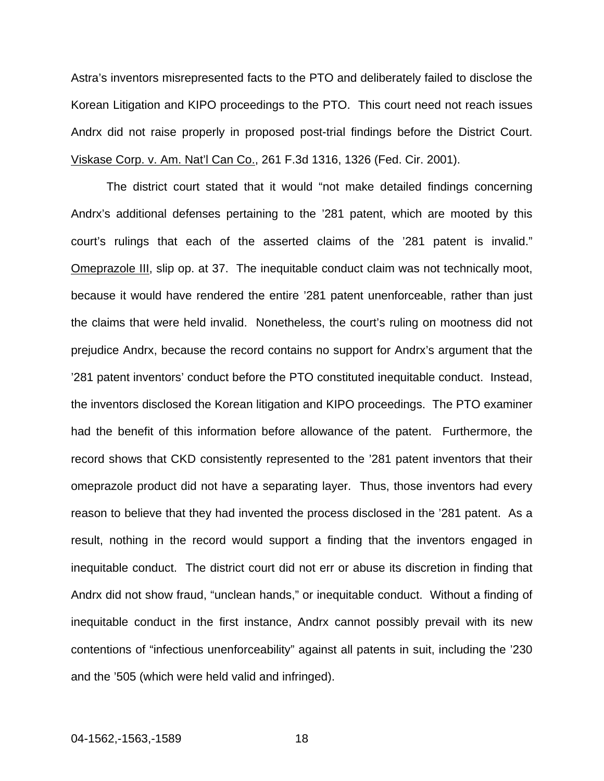Astra's inventors misrepresented facts to the PTO and deliberately failed to disclose the Korean Litigation and KIPO proceedings to the PTO. This court need not reach issues Andrx did not raise properly in proposed post-trial findings before the District Court. Viskase Corp. v. Am. Nat'l Can Co., 261 F.3d 1316, 1326 (Fed. Cir. 2001).

The district court stated that it would "not make detailed findings concerning Andrx's additional defenses pertaining to the '281 patent, which are mooted by this court's rulings that each of the asserted claims of the '281 patent is invalid." Omeprazole III, slip op. at 37. The inequitable conduct claim was not technically moot, because it would have rendered the entire '281 patent unenforceable, rather than just the claims that were held invalid. Nonetheless, the court's ruling on mootness did not prejudice Andrx, because the record contains no support for Andrx's argument that the '281 patent inventors' conduct before the PTO constituted inequitable conduct. Instead, the inventors disclosed the Korean litigation and KIPO proceedings. The PTO examiner had the benefit of this information before allowance of the patent. Furthermore, the record shows that CKD consistently represented to the '281 patent inventors that their omeprazole product did not have a separating layer. Thus, those inventors had every reason to believe that they had invented the process disclosed in the '281 patent. As a result, nothing in the record would support a finding that the inventors engaged in inequitable conduct. The district court did not err or abuse its discretion in finding that Andrx did not show fraud, "unclean hands," or inequitable conduct. Without a finding of inequitable conduct in the first instance, Andrx cannot possibly prevail with its new contentions of "infectious unenforceability" against all patents in suit, including the '230 and the '505 (which were held valid and infringed).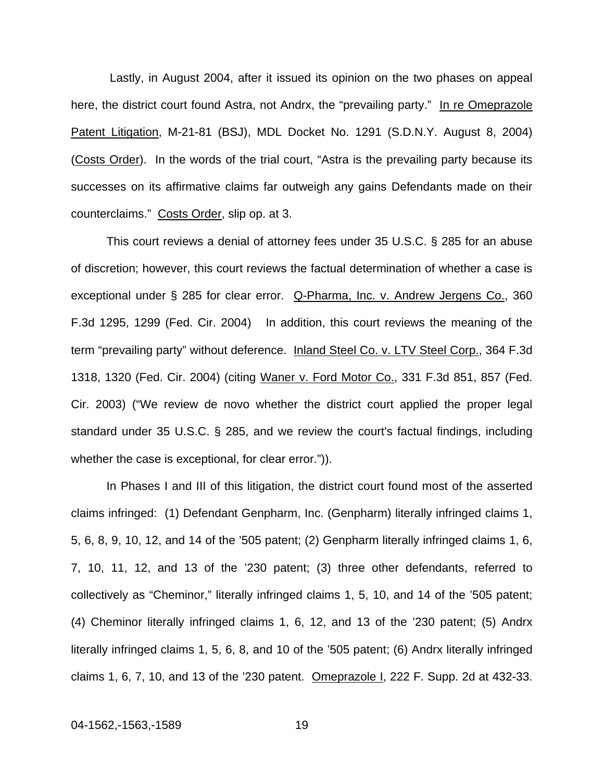Lastly, in August 2004, after it issued its opinion on the two phases on appeal here, the district court found Astra, not Andrx, the "prevailing party." In re Omeprazole Patent Litigation, M-21-81 (BSJ), MDL Docket No. 1291 (S.D.N.Y. August 8, 2004) (Costs Order). In the words of the trial court, "Astra is the prevailing party because its successes on its affirmative claims far outweigh any gains Defendants made on their counterclaims." Costs Order, slip op. at 3.

This court reviews a denial of attorney fees under 35 U.S.C. § 285 for an abuse of discretion; however, this court reviews the factual determination of whether a case is exceptional under § 285 for clear error. Q-Pharma, Inc. v. Andrew Jergens Co., 360 F.3d 1295, 1299 (Fed. Cir. 2004) In addition, this court reviews the meaning of the term "prevailing party" without deference. Inland Steel Co. v. LTV Steel Corp., 364 F.3d 1318, 1320 (Fed. Cir. 2004) (citing Waner v. Ford Motor Co., 331 F.3d 851, 857 (Fed. Cir. 2003) ("We review de novo whether the district court applied the proper legal standard under 35 U.S.C. § 285, and we review the court's factual findings, including whether the case is exceptional, for clear error.")).

In Phases I and III of this litigation, the district court found most of the asserted claims infringed: (1) Defendant Genpharm, Inc. (Genpharm) literally infringed claims 1, 5, 6, 8, 9, 10, 12, and 14 of the '505 patent; (2) Genpharm literally infringed claims 1, 6, 7, 10, 11, 12, and 13 of the '230 patent; (3) three other defendants, referred to collectively as "Cheminor," literally infringed claims 1, 5, 10, and 14 of the '505 patent; (4) Cheminor literally infringed claims 1, 6, 12, and 13 of the '230 patent; (5) Andrx literally infringed claims 1, 5, 6, 8, and 10 of the '505 patent; (6) Andrx literally infringed claims 1, 6, 7, 10, and 13 of the '230 patent. Omeprazole I, 222 F. Supp. 2d at 432-33.

04-1562,-1563,-1589 19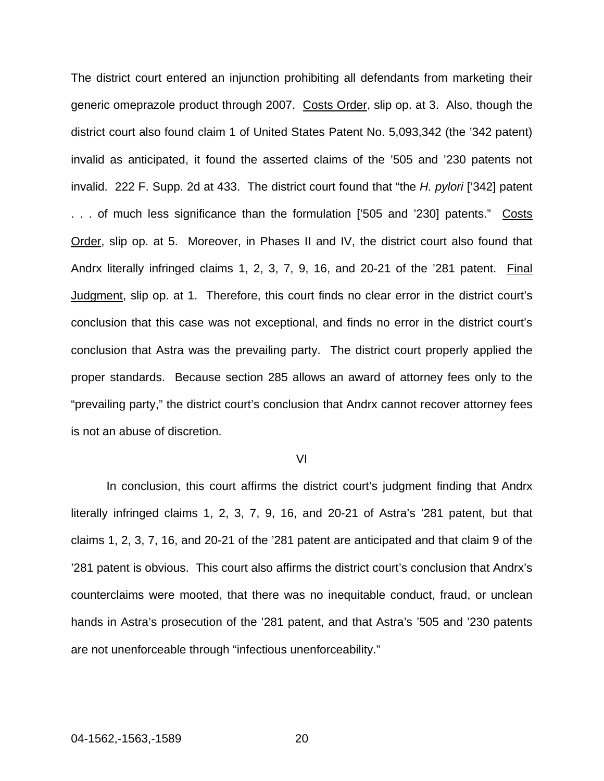The district court entered an injunction prohibiting all defendants from marketing their generic omeprazole product through 2007. Costs Order, slip op. at 3. Also, though the district court also found claim 1 of United States Patent No. 5,093,342 (the '342 patent) invalid as anticipated, it found the asserted claims of the '505 and '230 patents not invalid. 222 F. Supp. 2d at 433. The district court found that "the *H. pylori* ['342] patent . . . of much less significance than the formulation ['505 and '230] patents." Costs Order, slip op. at 5. Moreover, in Phases II and IV, the district court also found that Andrx literally infringed claims 1, 2, 3, 7, 9, 16, and 20-21 of the '281 patent. Final Judgment, slip op. at 1. Therefore, this court finds no clear error in the district court's conclusion that this case was not exceptional, and finds no error in the district court's conclusion that Astra was the prevailing party. The district court properly applied the proper standards. Because section 285 allows an award of attorney fees only to the "prevailing party," the district court's conclusion that Andrx cannot recover attorney fees is not an abuse of discretion.

#### VI

In conclusion, this court affirms the district court's judgment finding that Andrx literally infringed claims 1, 2, 3, 7, 9, 16, and 20-21 of Astra's '281 patent, but that claims 1, 2, 3, 7, 16, and 20-21 of the '281 patent are anticipated and that claim 9 of the '281 patent is obvious. This court also affirms the district court's conclusion that Andrx's counterclaims were mooted, that there was no inequitable conduct, fraud, or unclean hands in Astra's prosecution of the '281 patent, and that Astra's '505 and '230 patents are not unenforceable through "infectious unenforceability."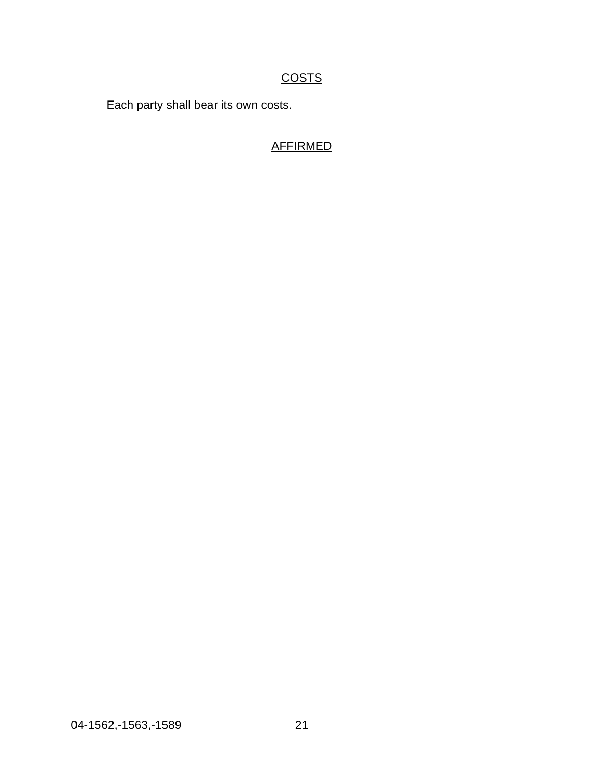# **COSTS**

Each party shall bear its own costs.

# AFFIRMED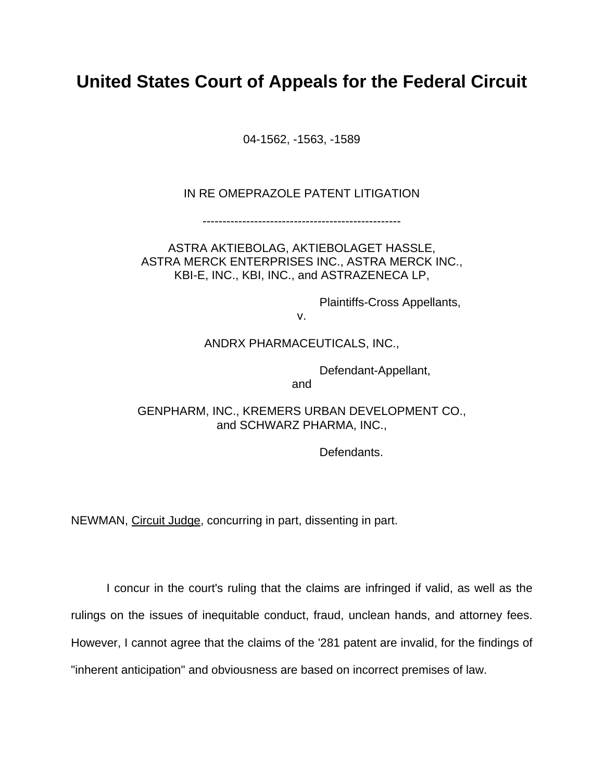# **United States Court of Appeals for the Federal Circuit**

04-1562, -1563, -1589

### IN RE OMEPRAZOLE PATENT LITIGATION

--------------------------------------------------

ASTRA AKTIEBOLAG, AKTIEBOLAGET HASSLE, ASTRA MERCK ENTERPRISES INC., ASTRA MERCK INC., KBI-E, INC., KBI, INC., and ASTRAZENECA LP,

Plaintiffs-Cross Appellants,

v.

### ANDRX PHARMACEUTICALS, INC.,

Defendant-Appellant,

and the contract of the contract of the contract of the contract of the contract of the contract of the contract of the contract of the contract of the contract of the contract of the contract of the contract of the contra

GENPHARM, INC., KREMERS URBAN DEVELOPMENT CO., and SCHWARZ PHARMA, INC.,

Defendants.

NEWMAN, Circuit Judge, concurring in part, dissenting in part.

I concur in the court's ruling that the claims are infringed if valid, as well as the rulings on the issues of inequitable conduct, fraud, unclean hands, and attorney fees. However, I cannot agree that the claims of the '281 patent are invalid, for the findings of "inherent anticipation" and obviousness are based on incorrect premises of law.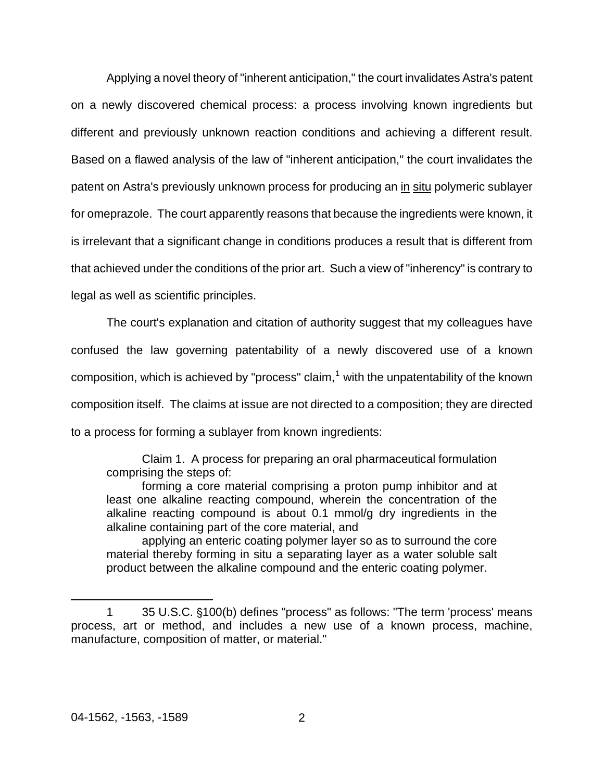Applying a novel theory of "inherent anticipation," the court invalidates Astra's patent on a newly discovered chemical process: a process involving known ingredients but different and previously unknown reaction conditions and achieving a different result. Based on a flawed analysis of the law of "inherent anticipation," the court invalidates the patent on Astra's previously unknown process for producing an in situ polymeric sublayer for omeprazole. The court apparently reasons that because the ingredients were known, it is irrelevant that a significant change in conditions produces a result that is different from that achieved under the conditions of the prior art. Such a view of "inherency" is contrary to legal as well as scientific principles.

The court's explanation and citation of authority suggest that my colleagues have confused the law governing patentability of a newly discovered use of a known composition, which is achieved by "process" claim, $<sup>1</sup>$  $<sup>1</sup>$  $<sup>1</sup>$  with the unpatentability of the known</sup> composition itself. The claims at issue are not directed to a composition; they are directed to a process for forming a sublayer from known ingredients:

Claim 1. A process for preparing an oral pharmaceutical formulation comprising the steps of:

forming a core material comprising a proton pump inhibitor and at least one alkaline reacting compound, wherein the concentration of the alkaline reacting compound is about 0.1 mmol/g dry ingredients in the alkaline containing part of the core material, and

applying an enteric coating polymer layer so as to surround the core material thereby forming in situ a separating layer as a water soluble salt product between the alkaline compound and the enteric coating polymer.

 $\overline{a}$ 

<span id="page-23-0"></span><sup>1 35</sup> U.S.C.  $$100(b)$  defines "process" as follows: "The term 'process' means process, art or method, and includes a new use of a known process, machine, manufacture, composition of matter, or material."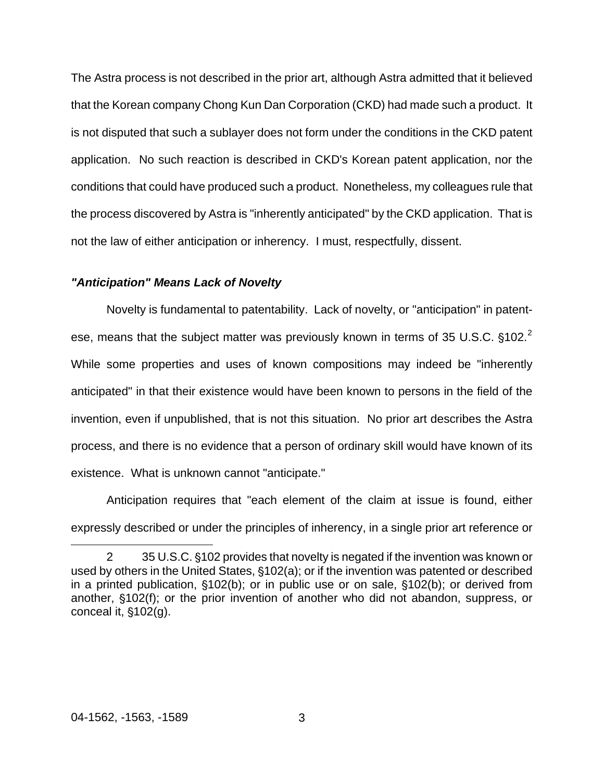The Astra process is not described in the prior art, although Astra admitted that it believed that the Korean company Chong Kun Dan Corporation (CKD) had made such a product. It is not disputed that such a sublayer does not form under the conditions in the CKD patent application. No such reaction is described in CKD's Korean patent application, nor the conditions that could have produced such a product. Nonetheless, my colleagues rule that the process discovered by Astra is "inherently anticipated" by the CKD application. That is not the law of either anticipation or inherency. I must, respectfully, dissent.

### *"Anticipation" Means Lack of Novelty*

Novelty is fundamental to patentability. Lack of novelty, or "anticipation" in patentese, means that the subject matter was previously known in terms of 35 U.S.C.  $§102<sup>2</sup>$  $§102<sup>2</sup>$  $§102<sup>2</sup>$ While some properties and uses of known compositions may indeed be "inherently anticipated" in that their existence would have been known to persons in the field of the invention, even if unpublished, that is not this situation. No prior art describes the Astra process, and there is no evidence that a person of ordinary skill would have known of its existence. What is unknown cannot "anticipate."

Anticipation requires that "each element of the claim at issue is found, either expressly described or under the principles of inherency, in a single prior art reference or

 $\overline{a}$ 

<span id="page-24-0"></span><sup>2 35</sup> U.S.C. §102 provides that novelty is negated if the invention was known or used by others in the United States,  $§102(a)$ ; or if the invention was patented or described in a printed publication,  $$102(b)$ ; or in public use or on sale,  $$102(b)$ ; or derived from another, \$102(f); or the prior invention of another who did not abandon, suppress, or conceal it,  $$102(g)$ .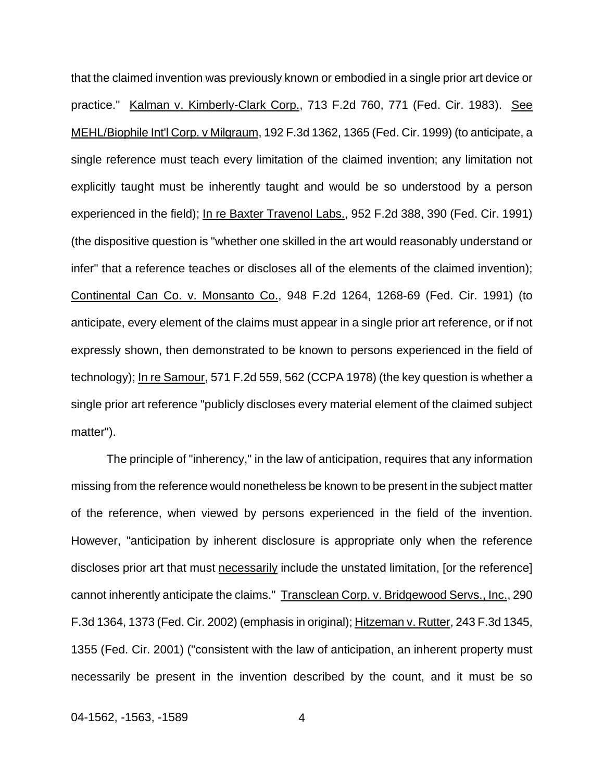that the claimed invention was previously known or embodied in a single prior art device or practice." Kalman v. Kimberly-Clark Corp., 713 F.2d 760, 771 (Fed. Cir. 1983). See MEHL/Biophile Int'l Corp. v Milgraum, 192 F.3d 1362, 1365 (Fed. Cir. 1999) (to anticipate, a single reference must teach every limitation of the claimed invention; any limitation not explicitly taught must be inherently taught and would be so understood by a person experienced in the field); In re Baxter Travenol Labs., 952 F.2d 388, 390 (Fed. Cir. 1991) (the dispositive question is "whether one skilled in the art would reasonably understand or infer" that a reference teaches or discloses all of the elements of the claimed invention); Continental Can Co. v. Monsanto Co., 948 F.2d 1264, 1268-69 (Fed. Cir. 1991) (to anticipate, every element of the claims must appear in a single prior art reference, or if not expressly shown, then demonstrated to be known to persons experienced in the field of technology); In re Samour, 571 F.2d 559, 562 (CCPA 1978) (the key question is whether a single prior art reference "publicly discloses every material element of the claimed subject matter").

The principle of "inherency," in the law of anticipation, requires that any information missing from the reference would nonetheless be known to be present in the subject matter of the reference, when viewed by persons experienced in the field of the invention. However, "anticipation by inherent disclosure is appropriate only when the reference discloses prior art that must necessarily include the unstated limitation, [or the reference] cannot inherently anticipate the claims." Transclean Corp. v. Bridgewood Servs., Inc., 290 F.3d 1364, 1373 (Fed. Cir. 2002) (emphasis in original); Hitzeman v. Rutter, 243 F.3d 1345, 1355 (Fed. Cir. 2001) ("consistent with the law of anticipation, an inherent property must necessarily be present in the invention described by the count, and it must be so

04-1562, -1563, -1589 4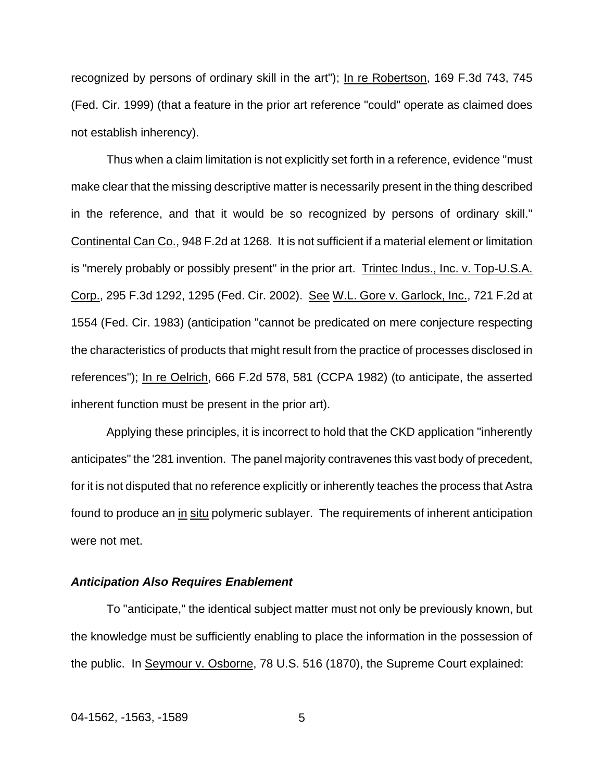recognized by persons of ordinary skill in the art"); In re Robertson, 169 F.3d 743, 745 (Fed. Cir. 1999) (that a feature in the prior art reference "could" operate as claimed does not establish inherency).

Thus when a claim limitation is not explicitly set forth in a reference, evidence "must make clear that the missing descriptive matter is necessarily present in the thing described in the reference, and that it would be so recognized by persons of ordinary skill." Continental Can Co., 948 F.2d at 1268. It is not sufficient if a material element or limitation is "merely probably or possibly present" in the prior art. Trintec Indus., Inc. v. Top-U.S.A. Corp., 295 F.3d 1292, 1295 (Fed. Cir. 2002). See W.L. Gore v. Garlock, Inc., 721 F.2d at 1554 (Fed. Cir. 1983) (anticipation "cannot be predicated on mere conjecture respecting the characteristics of products that might result from the practice of processes disclosed in references"); In re Oelrich, 666 F.2d 578, 581 (CCPA 1982) (to anticipate, the asserted inherent function must be present in the prior art).

Applying these principles, it is incorrect to hold that the CKD application "inherently anticipates" the '281 invention. The panel majority contravenes this vast body of precedent, for it is not disputed that no reference explicitly or inherently teaches the process that Astra found to produce an in situ polymeric sublayer. The requirements of inherent anticipation were not met.

### *Anticipation Also Requires Enablement*

To "anticipate," the identical subject matter must not only be previously known, but the knowledge must be sufficiently enabling to place the information in the possession of the public. In Seymour v. Osborne, 78 U.S. 516 (1870), the Supreme Court explained: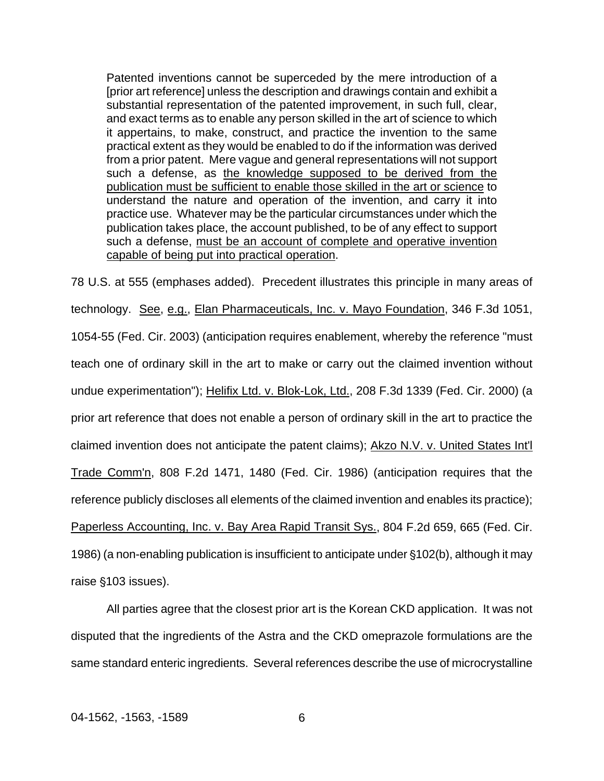Patented inventions cannot be superceded by the mere introduction of a [prior art reference] unless the description and drawings contain and exhibit a substantial representation of the patented improvement, in such full, clear, and exact terms as to enable any person skilled in the art of science to which it appertains, to make, construct, and practice the invention to the same practical extent as they would be enabled to do if the information was derived from a prior patent. Mere vague and general representations will not support such a defense, as the knowledge supposed to be derived from the publication must be sufficient to enable those skilled in the art or science to understand the nature and operation of the invention, and carry it into practice use. Whatever may be the particular circumstances under which the publication takes place, the account published, to be of any effect to support such a defense, must be an account of complete and operative invention capable of being put into practical operation.

78 U.S. at 555 (emphases added). Precedent illustrates this principle in many areas of technology. See, e.g., Elan Pharmaceuticals, Inc. v. Mayo Foundation, 346 F.3d 1051, 1054-55 (Fed. Cir. 2003) (anticipation requires enablement, whereby the reference "must teach one of ordinary skill in the art to make or carry out the claimed invention without undue experimentation"); Helifix Ltd. v. Blok-Lok, Ltd., 208 F.3d 1339 (Fed. Cir. 2000) (a prior art reference that does not enable a person of ordinary skill in the art to practice the claimed invention does not anticipate the patent claims); Akzo N.V. v. United States Int'l Trade Comm'n, 808 F.2d 1471, 1480 (Fed. Cir. 1986) (anticipation requires that the reference publicly discloses all elements of the claimed invention and enables its practice); Paperless Accounting, Inc. v. Bay Area Rapid Transit Sys., 804 F.2d 659, 665 (Fed. Cir. 1986) (a non-enabling publication is insufficient to anticipate under  $$102(b)$ , although it may raise  $$103$  issues).

All parties agree that the closest prior art is the Korean CKD application. It was not disputed that the ingredients of the Astra and the CKD omeprazole formulations are the same standard enteric ingredients. Several references describe the use of microcrystalline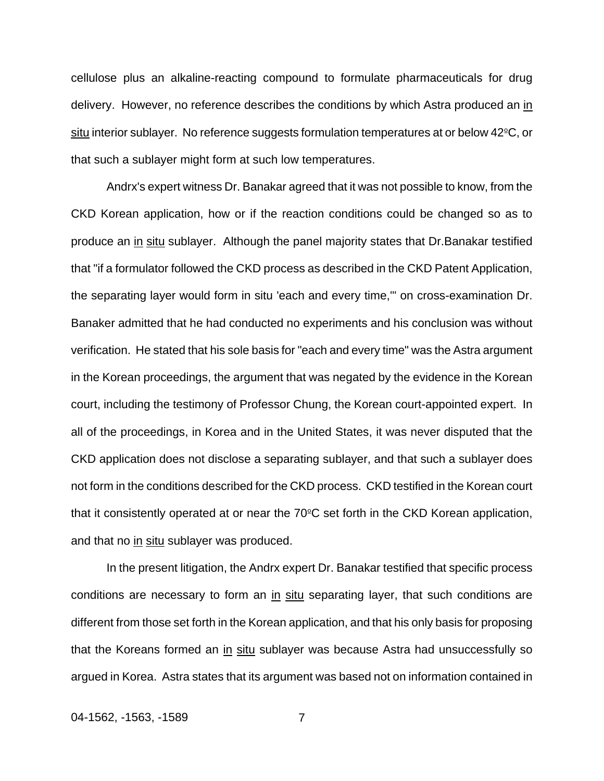cellulose plus an alkaline-reacting compound to formulate pharmaceuticals for drug delivery. However, no reference describes the conditions by which Astra produced an in situ interior sublayer. No reference suggests formulation temperatures at or below  $42^{\circ}C$ , or that such a sublayer might form at such low temperatures.

Andrx's expert witness Dr. Banakar agreed that it was not possible to know, from the CKD Korean application, how or if the reaction conditions could be changed so as to produce an in situ sublayer. Although the panel majority states that Dr.Banakar testified that "if a formulator followed the CKD process as described in the CKD Patent Application, the separating layer would form in situ 'each and every time,'" on cross-examination Dr. Banaker admitted that he had conducted no experiments and his conclusion was without verification. He stated that his sole basis for "each and every time" was the Astra argument in the Korean proceedings, the argument that was negated by the evidence in the Korean court, including the testimony of Professor Chung, the Korean court-appointed expert. In all of the proceedings, in Korea and in the United States, it was never disputed that the CKD application does not disclose a separating sublayer, and that such a sublayer does not form in the conditions described for the CKD process. CKD testified in the Korean court that it consistently operated at or near the  $70^{\circ}$ C set forth in the CKD Korean application, and that no in situ sublayer was produced.

In the present litigation, the Andrx expert Dr. Banakar testified that specific process conditions are necessary to form an in situ separating layer, that such conditions are different from those set forth in the Korean application, and that his only basis for proposing that the Koreans formed an in situ sublayer was because Astra had unsuccessfully so argued in Korea. Astra states that its argument was based not on information contained in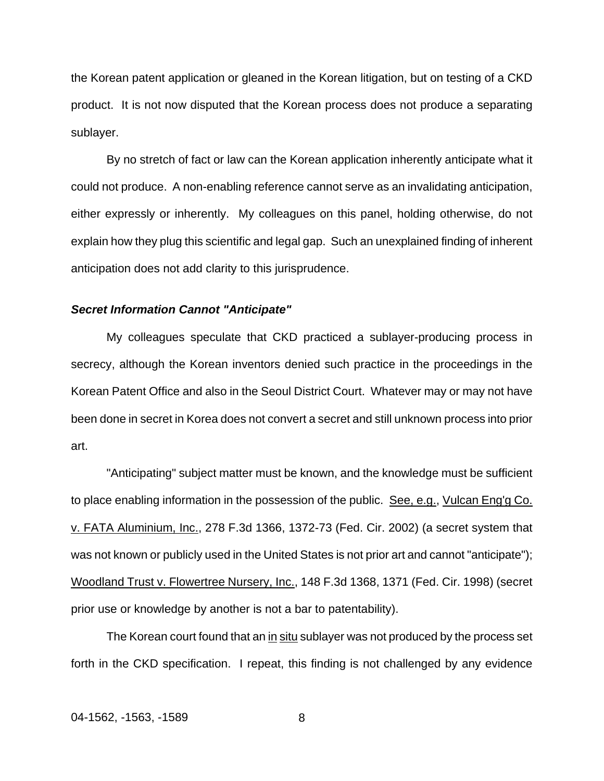the Korean patent application or gleaned in the Korean litigation, but on testing of a CKD product. It is not now disputed that the Korean process does not produce a separating sublayer.

By no stretch of fact or law can the Korean application inherently anticipate what it could not produce. A non-enabling reference cannot serve as an invalidating anticipation, either expressly or inherently. My colleagues on this panel, holding otherwise, do not explain how they plug this scientific and legal gap. Such an unexplained finding of inherent anticipation does not add clarity to this jurisprudence.

### *Secret Information Cannot "Anticipate"*

My colleagues speculate that CKD practiced a sublayer-producing process in secrecy, although the Korean inventors denied such practice in the proceedings in the Korean Patent Office and also in the Seoul District Court. Whatever may or may not have been done in secret in Korea does not convert a secret and still unknown process into prior art.

"Anticipating" subject matter must be known, and the knowledge must be sufficient to place enabling information in the possession of the public. See, e.g., Vulcan Eng'g Co. v. FATA Aluminium, Inc., 278 F.3d 1366, 1372-73 (Fed. Cir. 2002) (a secret system that was not known or publicly used in the United States is not prior art and cannot "anticipate"); Woodland Trust v. Flowertree Nursery, Inc., 148 F.3d 1368, 1371 (Fed. Cir. 1998) (secret prior use or knowledge by another is not a bar to patentability).

The Korean court found that an in situ sublayer was not produced by the process set forth in the CKD specification. I repeat, this finding is not challenged by any evidence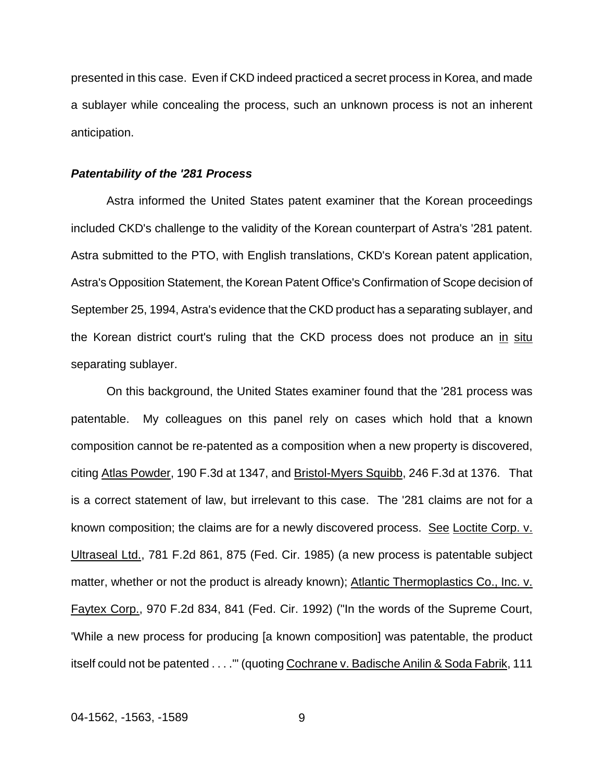presented in this case. Even if CKD indeed practiced a secret process in Korea, and made a sublayer while concealing the process, such an unknown process is not an inherent anticipation.

### *Patentability of the '281 Process*

Astra informed the United States patent examiner that the Korean proceedings included CKD's challenge to the validity of the Korean counterpart of Astra's '281 patent. Astra submitted to the PTO, with English translations, CKD's Korean patent application, Astra's Opposition Statement, the Korean Patent Office's Confirmation of Scope decision of September 25, 1994, Astra's evidence that the CKD product has a separating sublayer, and the Korean district court's ruling that the CKD process does not produce an in situ separating sublayer.

On this background, the United States examiner found that the '281 process was patentable. My colleagues on this panel rely on cases which hold that a known composition cannot be re-patented as a composition when a new property is discovered, citing Atlas Powder, 190 F.3d at 1347, and Bristol-Myers Squibb, 246 F.3d at 1376. That is a correct statement of law, but irrelevant to this case. The '281 claims are not for a known composition; the claims are for a newly discovered process. See Loctite Corp. v. Ultraseal Ltd., 781 F.2d 861, 875 (Fed. Cir. 1985) (a new process is patentable subject matter, whether or not the product is already known); Atlantic Thermoplastics Co., Inc. v. Faytex Corp., 970 F.2d 834, 841 (Fed. Cir. 1992) ("In the words of the Supreme Court, 'While a new process for producing [a known composition] was patentable, the product itself could not be patented . . . ."" (quoting Cochrane v. Badische Anilin & Soda Fabrik, 111

04-1562, -1563, -1589 9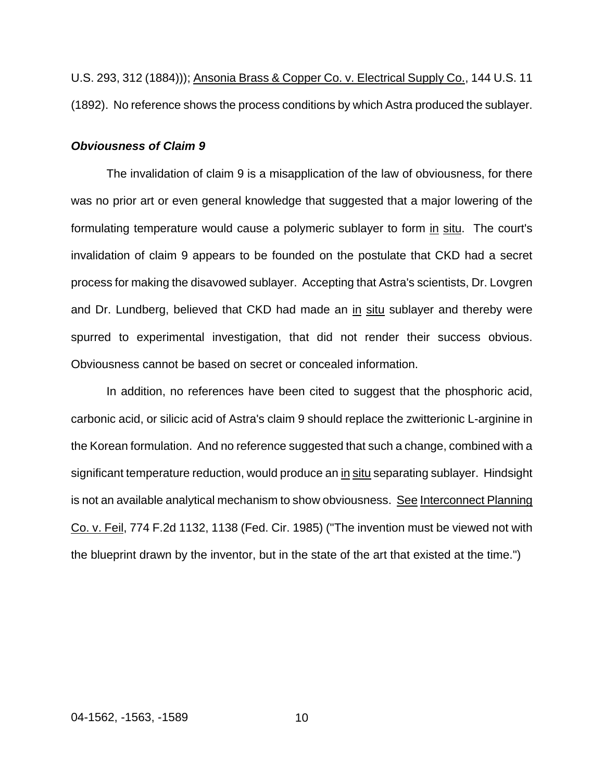U.S. 293, 312 (1884))); Ansonia Brass & Copper Co. v. Electrical Supply Co., 144 U.S. 11 (1892). No reference shows the process conditions by which Astra produced the sublayer.

### *Obviousness of Claim 9*

The invalidation of claim 9 is a misapplication of the law of obviousness, for there was no prior art or even general knowledge that suggested that a major lowering of the formulating temperature would cause a polymeric sublayer to form in situ. The court's invalidation of claim 9 appears to be founded on the postulate that CKD had a secret process for making the disavowed sublayer. Accepting that Astra's scientists, Dr. Lovgren and Dr. Lundberg, believed that CKD had made an in situ sublayer and thereby were spurred to experimental investigation, that did not render their success obvious. Obviousness cannot be based on secret or concealed information.

In addition, no references have been cited to suggest that the phosphoric acid, carbonic acid, or silicic acid of Astra's claim 9 should replace the zwitterionic L-arginine in the Korean formulation. And no reference suggested that such a change, combined with a significant temperature reduction, would produce an in situ separating sublayer. Hindsight is not an available analytical mechanism to show obviousness. See Interconnect Planning Co. v. Feil, 774 F.2d 1132, 1138 (Fed. Cir. 1985) ("The invention must be viewed not with the blueprint drawn by the inventor, but in the state of the art that existed at the time.")